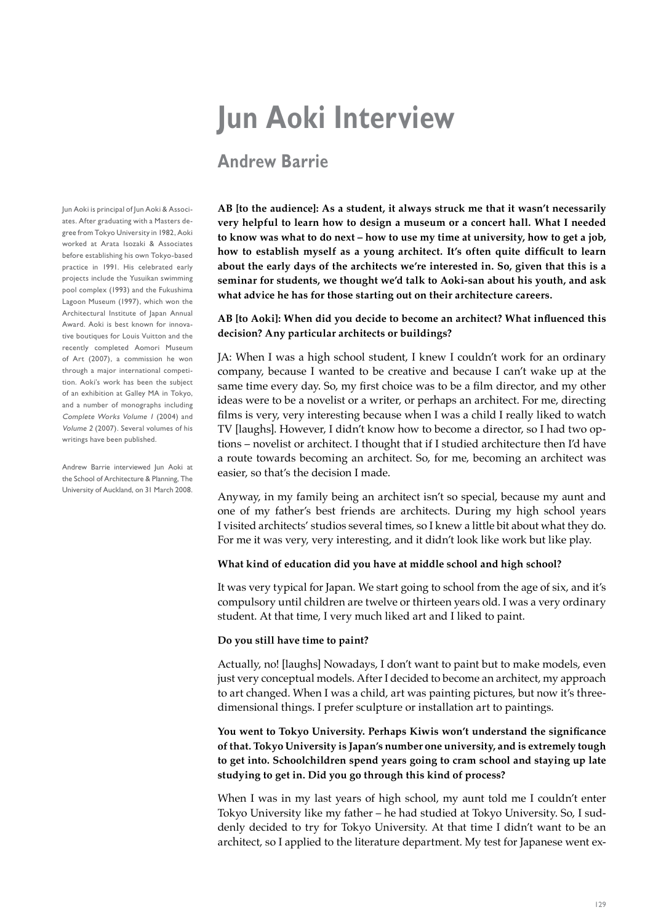# **Jun Aoki Interview**

## **Andrew Barrie**

Jun Aoki is principal of Jun Aoki & Associates. After graduating with a Masters degree from Tokyo University in 1982, Aoki worked at Arata Isozaki & Associates before establishing his own Tokyo-based practice in 1991. His celebrated early projects include the Yusuikan swimming pool complex (1993) and the Fukushima Lagoon Museum (1997), which won the Architectural Institute of Japan Annual Award. Aoki is best known for innovative boutiques for Louis Vuitton and the recently completed Aomori Museum of Art (2007), a commission he won through a major international competition. Aoki's work has been the subject of an exhibition at Galley MA in Tokyo, and a number of monographs including Complete Works Volume 1 (2004) and Volume 2 (2007). Several volumes of his writings have been published.

Andrew Barrie interviewed Jun Aoki at the School of Architecture & Planning, The University of Auckland, on 31 March 2008.

**AB [to the audience]: As a student, it always struck me that it wasn't necessarily very helpful to learn how to design a museum or a concert hall. What I needed to know was what to do next – how to use my time at university, how to get a job, how to establish myself as a young architect. It's often quite difficult to learn about the early days of the architects we're interested in. So, given that this is a seminar for students, we thought we'd talk to Aoki-san about his youth, and ask what advice he has for those starting out on their architecture careers.**

### **AB [to Aoki]: When did you decide to become an architect? What influenced this decision? Any particular architects or buildings?**

JA: When I was a high school student, I knew I couldn't work for an ordinary company, because I wanted to be creative and because I can't wake up at the same time every day. So, my first choice was to be a film director, and my other ideas were to be a novelist or a writer, or perhaps an architect. For me, directing films is very, very interesting because when I was a child I really liked to watch TV [laughs]. However, I didn't know how to become a director, so I had two options – novelist or architect. I thought that if I studied architecture then I'd have a route towards becoming an architect. So, for me, becoming an architect was easier, so that's the decision I made.

Anyway, in my family being an architect isn't so special, because my aunt and one of my father's best friends are architects. During my high school years I visited architects' studios several times, so I knew a little bit about what they do. For me it was very, very interesting, and it didn't look like work but like play.

### **What kind of education did you have at middle school and high school?**

It was very typical for Japan. We start going to school from the age of six, and it's compulsory until children are twelve or thirteen years old. I was a very ordinary student. At that time, I very much liked art and I liked to paint.

### **Do you still have time to paint?**

Actually, no! [laughs] Nowadays, I don't want to paint but to make models, even just very conceptual models. After I decided to become an architect, my approach to art changed. When I was a child, art was painting pictures, but now it's threedimensional things. I prefer sculpture or installation art to paintings.

**You went to Tokyo University. Perhaps Kiwis won't understand the significance of that. Tokyo University is Japan's number one university, and is extremely tough to get into. Schoolchildren spend years going to cram school and staying up late studying to get in. Did you go through this kind of process?**

When I was in my last years of high school, my aunt told me I couldn't enter Tokyo University like my father – he had studied at Tokyo University. So, I suddenly decided to try for Tokyo University. At that time I didn't want to be an architect, so I applied to the literature department. My test for Japanese went ex-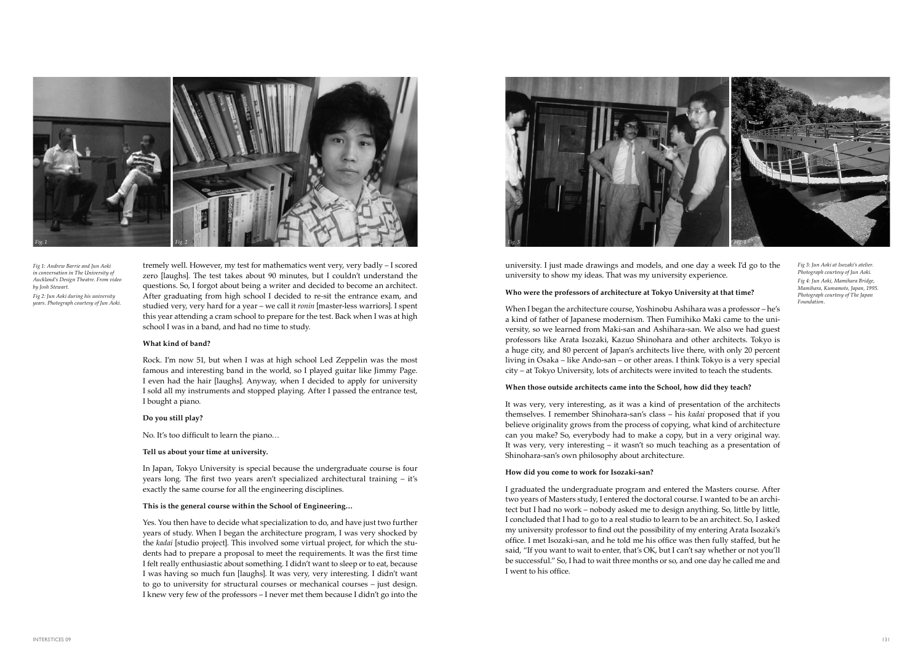university. I just made drawings and models, and one day a week I'd go to the university to show my ideas. That was my university experience.

### **Who were the professors of architecture at Tokyo University at that time?**

When I began the architecture course, Yoshinobu Ashihara was a professor – he's a kind of father of Japanese modernism. Then Fumihiko Maki came to the university, so we learned from Maki-san and Ashihara-san. We also we had guest professors like Arata Isozaki, Kazuo Shinohara and other architects. Tokyo is a huge city, and 80 percent of Japan's architects live there, with only 20 percent living in Osaka – like Ando-san – or other areas. I think Tokyo is a very special city – at Tokyo University, lots of architects were invited to teach the students.

### **When those outside architects came into the School, how did they teach?**

It was very, very interesting, as it was a kind of presentation of the architects themselves. I remember Shinohara-san's class – his *kadai* proposed that if you believe originality grows from the process of copying, what kind of architecture can you make? So, everybody had to make a copy, but in a very original way. It was very, very interesting – it wasn't so much teaching as a presentation of Shinohara-san's own philosophy about architecture.

### **How did you come to work for Isozaki-san?**

I graduated the undergraduate program and entered the Masters course. After two years of Masters study, I entered the doctoral course. I wanted to be an architect but I had no work - nobody asked me to design anything. So, little by little, I concluded that I had to go to a real studio to learn to be an architect. So, I asked my university professor to find out the possibility of my entering Arata Isozaki's office. I met Isozaki-san, and he told me his office was then fully staffed, but he said, "If you want to wait to enter, that's OK, but I can't say whether or not you'll be successful." So, I had to wait three months or so, and one day he called me and I went to his office.

tremely well. However, my test for mathematics went very, very badly – I scored zero [laughs]. The test takes about 90 minutes, but I couldn't understand the questions. So, I forgot about being a writer and decided to become an architect. After graduating from high school I decided to re-sit the entrance exam, and studied very, very hard for a year – we call it *ronin* [master-less warriors]. I spent this year attending a cram school to prepare for the test. Back when I was at high school I was in a band, and had no time to study.

### **What kind of band?**

Rock. I'm now 51, but when I was at high school Led Zeppelin was the most famous and interesting band in the world, so I played guitar like Jimmy Page. I even had the hair [laughs]. Anyway, when I decided to apply for university I sold all my instruments and stopped playing. After I passed the entrance test, I bought a piano.

### **Do you still play?**

No. It's too difficult to learn the piano…

### **Tell us about your time at university.**

In Japan, Tokyo University is special because the undergraduate course is four years long. The first two years aren't specialized architectural training – it's exactly the same course for all the engineering disciplines.

### **This is the general course within the School of Engineering…**

Yes. You then have to decide what specialization to do, and have just two further years of study. When I began the architecture program, I was very shocked by the *kadai* [studio project]. This involved some virtual project, for which the students had to prepare a proposal to meet the requirements. It was the first time I felt really enthusiastic about something. I didn't want to sleep or to eat, because I was having so much fun [laughs]. It was very, very interesting. I didn't want to go to university for structural courses or mechanical courses – just design. I knew very few of the professors – I never met them because I didn't go into the



*Fig 1: Andrew Barrie and Jun Aoki in conversation in The University of Auckland's Design Theatre. From video by Josh Stewart. Fig 2: Jun Aoki during his university years. Photograph courtesy of Jun Aoki.*

*Fig 3: Jun Aoki at Isozaki's atelier. Photograph courtesy of Jun Aoki. Fig 4: Jun Aoki, Mamihara Bridge, Mamihara, Kumamoto, Japan, 1995. Photograph courtesy of The Japan Foundation.*